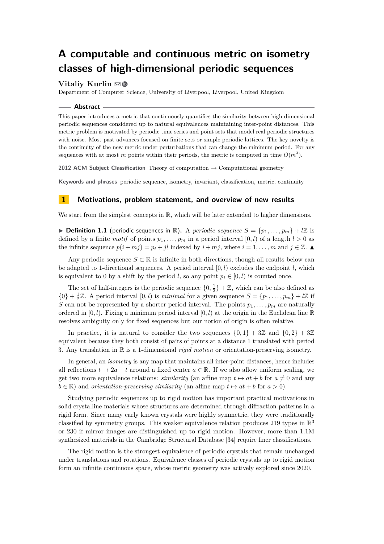# **A computable and continuous metric on isometry classes of high-dimensional periodic sequences**

# **Vitaliy Kurlin** ⊠<sup>●</sup>

Department of Computer Science, University of Liverpool, Liverpool, United Kingdom

#### **Abstract**

This paper introduces a metric that continuously quantifies the similarity between high-dimensional periodic sequences considered up to natural equivalences maintaining inter-point distances. This metric problem is motivated by periodic time series and point sets that model real periodic structures with noise. Most past advances focused on finite sets or simple periodic lattices. The key novelty is the continuity of the new metric under perturbations that can change the minimum period. For any sequences with at most *m* points within their periods, the metric is computed in time  $O(m^3)$ .

**2012 ACM Subject Classification** Theory of computation → Computational geometry

**Keywords and phrases** periodic sequence, isometry, invariant, classification, metric, continuity

# **1 Motivations, problem statement, and overview of new results**

We start from the simplest concepts in  $\mathbb{R}$ , which will be later extended to higher dimensions.

<span id="page-0-0"></span> $\triangleright$  **Definition 1.1** (periodic sequences in R). A *periodic sequence*  $S = \{p_1, \ldots, p_m\} + l\mathbb{Z}$  is defined by a finite *motif* of points  $p_1, \ldots, p_m$  in a period interval  $[0, l)$  of a length  $l > 0$  as the infinite sequence  $p(i + mj) = p_i + il$  indexed by  $i + mj$ , where  $i = 1, ..., m$  and  $j \in \mathbb{Z}$ .

Any periodic sequence  $S \subset \mathbb{R}$  is infinite in both directions, though all results below can be adapted to 1-directional sequences. A period interval  $[0, l)$  excludes the endpoint *l*, which is equivalent to 0 by a shift by the period *l*, so any point  $p_i \in [0, l)$  is counted once.

The set of half-integers is the periodic sequence  $\{0, \frac{1}{2}\} + \mathbb{Z}$ , which can be also defined as  $\{0\} + \frac{1}{2}\mathbb{Z}$ . A period interval  $[0, l)$  is *minimal* for a given sequence  $S = \{p_1, \ldots, p_m\} + l\mathbb{Z}$  if *S* can not be represented by a shorter period interval. The points  $p_1, \ldots, p_m$  are naturally ordered in  $[0, l)$ . Fixing a minimum period interval  $[0, l)$  at the origin in the Euclidean line  $\mathbb R$ resolves ambiguity only for fixed sequences but our notion of origin is often relative.

In practice, it is natural to consider the two sequences  $\{0,1\}+3\mathbb{Z}$  and  $\{0,2\}+3\mathbb{Z}$ equivalent because they both consist of pairs of points at a distance 1 translated with period 3. Any translation in R is a 1-dimensional *rigid motion* or orientation-preserving isometry.

In general, an *isometry* is any map that maintains all inter-point distances, hence includes all reflections  $t \mapsto 2a - t$  around a fixed center  $a \in \mathbb{R}$ . If we also allow uniform scaling, we get two more equivalence relations: *similarity* (an affine map  $t \mapsto at + b$  for  $a \neq 0$  and any  $b \in \mathbb{R}$ ) and *orientation-preserving similarity* (an affine map  $t \mapsto at + b$  for  $a > 0$ ).

Studying periodic sequences up to rigid motion has important practical motivations in solid crystalline materials whose structures are determined through diffraction patterns in a rigid form. Since many early known crystals were highly symmetric, they were traditionally classified by symmetry groups. This weaker equivalence relation produces 219 types in  $\mathbb{R}^3$ or 230 if mirror images are distinguished up to rigid motion. However, more than 1.1M synthesized materials in the Cambridge Structural Database [\[34\]](#page-13-0) require finer classifications.

The rigid motion is the strongest equivalence of periodic crystals that remain unchanged under translations and rotations. Equivalence classes of periodic crystals up to rigid motion form an infinite continuous space, whose metric geometry was actively explored since 2020.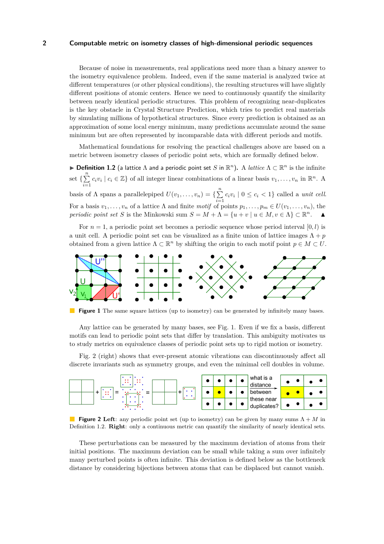Because of noise in measurements, real applications need more than a binary answer to the isometry equivalence problem. Indeed, even if the same material is analyzed twice at different temperatures (or other physical conditions), the resulting structures will have slightly different positions of atomic centers. Hence we need to continuously quantify the similarity between nearly identical periodic structures. This problem of recognizing near-duplicates is the key obstacle in Crystal Structure Prediction, which tries to predict real materials by simulating millions of hypothetical structures. Since every prediction is obtained as an approximation of some local energy minimum, many predictions accumulate around the same minimum but are often represented by incomparable data with different periods and motifs.

Mathematical foundations for resolving the practical challenges above are based on a metric between isometry classes of periodic point sets, which are formally defined below.

<span id="page-1-2"></span> $▶$  **Definition 1.2** (a lattice  $Λ$  and a periodic point set  $S$  in  $\mathbb{R}^n$ ). A *lattice*  $Λ ⊂ \mathbb{R}^n$  is the infinite set  $\left\{\sum_{n=1}^{n}$  $\sum_{i=1}^{n} c_i v_i \mid c_i \in \mathbb{Z}$  of all integer linear combinations of a linear basis  $v_1, \ldots, v_n$  in  $\mathbb{R}^n$ . A basis of  $\Lambda$  spans a parallelepiped  $U(v_1, \ldots, v_n) = \{\sum_{i=1}^{n} a_i\}$  $\sum_{i=1} c_i v_i \mid 0 \leq c_i < 1$ } called a *unit cell*. For a basis  $v_1, \ldots, v_n$  of a lattice  $\Lambda$  and finite *motif* of points  $p_1, \ldots, p_m \in U(v_1, \ldots, v_n)$ , the *periodic point set S* is the Minkowski sum  $S = M + \Lambda = \{u + v \mid u \in M, v \in \Lambda\} \subset \mathbb{R}^n$ .  $\blacktriangle$ 

For  $n = 1$ , a periodic point set becomes a periodic sequence whose period interval  $[0, l)$  is a unit cell. A periodic point set can be visualized as a finite union of lattice images  $\Lambda + p$ obtained from a given lattice  $\Lambda \subset \mathbb{R}^n$  by shifting the origin to each motif point  $p \in M \subset U$ .

<span id="page-1-0"></span>

 $\mathbb{R}^3$ **Figure 1** The same square lattices (up to isometry) can be generated by infinitely many bases.

Any lattice can be generated by many bases, see Fig. [1.](#page-1-0) Even if we fix a basis, different motifs can lead to periodic point sets that differ by translation. This ambiguity motivates us to study metrics on equivalence classes of periodic point sets up to rigid motion or isometry.

Fig. [2](#page-1-1) (right) shows that ever-present atomic vibrations can discontinuously affect all discrete invariants such as symmetry groups, and even the minimal cell doubles in volume.

<span id="page-1-1"></span>

**Figure 2** Left: any periodic point set (up to isometry) can be given by many sums  $\Lambda + M$  in Definition [1.2.](#page-1-2) **Right**: only a continuous metric can quantify the similarity of nearly identical sets.

<span id="page-1-3"></span>These perturbations can be measured by the maximum deviation of atoms from their initial positions. The maximum deviation can be small while taking a sum over infinitely many perturbed points is often infinite. This deviation is defined below as the bottleneck distance by considering bijections between atoms that can be displaced but cannot vanish.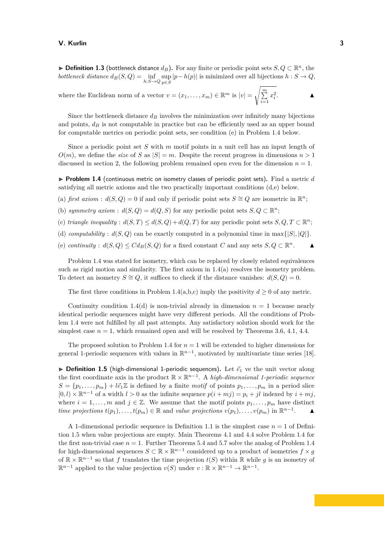▶ **Definition 1.3** (bottleneck distance *dB*)**.** For any finite or periodic point sets *S, Q* ⊂ R *<sup>n</sup>*, the *bottleneck distance*  $d_B(S, Q) = \inf_{h:S \to Q} \sup_{p \in S} |p - h(p)|$  is minimized over all bijections  $h: S \to Q$ ,

where the Euclidean norm of a vector 
$$
v = (x_1, ..., x_m) \in \mathbb{R}^m
$$
 is  $|v| = \sqrt{\sum_{i=1}^m x_i^2}$ .

Since the bottleneck distance  $d_B$  involves the minimization over infinitely many bijections and points,  $d<sub>B</sub>$  is not computable in practice but can be efficiently used as an upper bound for computable metrics on periodic point sets, see condition (e) in Problem [1.4](#page-2-0) below.

Since a periodic point set *S* with *m* motif points in a unit cell has an input length of  $O(m)$ , we define the *size* of *S* as  $|S| = m$ . Despite the recent progress in dimensions  $n > 1$ discussed in section [2,](#page-3-0) the following problem remained open even for the dimension  $n = 1$ .

<span id="page-2-0"></span>▶ **Problem 1.4** (continuous metric on isometry classes of periodic point sets)**.** Find a metric *d* satisfying all metric axioms and the two practically important conditions (d,e) below.

- (a) *first axiom* :  $d(S, Q) = 0$  if and only if periodic point sets  $S \cong Q$  are isometric in  $\mathbb{R}^n$ ;
- (b) *symmetry axiom* :  $d(S, Q) = d(Q, S)$  for any periodic point sets  $S, Q \subset \mathbb{R}^n$ ;
- (c) *triangle inequality* :  $d(S,T) \leq d(S,Q) + d(Q,T)$  for any periodic point sets  $S, Q, T \subset \mathbb{R}^n$ ;
- (d) *computability* :  $d(S, Q)$  can be exactly computed in a polynomial time in max{ $|S|, |Q|$ }.
- (e) *continuity* :  $d(S, Q) \leq C d_B(S, Q)$  for a fixed constant *C* and any sets *S*, *Q* ⊂  $\mathbb{R}^n$ . ▲

Problem [1.4](#page-2-0) was stated for isometry, which can be replaced by closely related equivalences such as rigid motion and similarity. The first axiom in  $1.4(a)$  resolves the isometry problem. To detect an isometry  $S \cong Q$ , it suffices to check if the distance vanishes:  $d(S, Q) = 0$ .

The first three conditions in Problem [1.4\(](#page-2-0)a,b,c) imply the positivity  $d \geq 0$  of any metric.

Continuity condition [1.4\(](#page-2-0)d) is non-trivial already in dimension  $n = 1$  because nearly identical periodic sequences might have very different periods. All the conditions of Problem [1.4](#page-2-0) were not fulfilled by all past attempts. Any satisfactory solution should work for the simplest case  $n = 1$ , which remained open and will be resolved by Theorems [3.6,](#page-6-0) [4.1,](#page-6-1) [4.4.](#page-7-0)

The proposed solution to Problem [1.4](#page-2-0) for  $n = 1$  will be extended to higher dimensions for general 1-periodic sequences with values in  $\mathbb{R}^{n-1}$ , motivated by multivariate time series [\[18\]](#page-12-0).

<span id="page-2-1"></span>▶ Definition 1.5 (high-dimensional 1-periodic sequences). Let  $\vec{e}_1$  ve the unit vector along the first coordinate axis in the product  $\mathbb{R} \times \mathbb{R}^{n-1}$ . A *high-dimensional 1-periodic sequence*  $S = \{p_1, \ldots, p_m\} + l\vec{e}_1\mathbb{Z}$  is defined by a finite *motif* of points  $p_1, \ldots, p_m$  in a period slice [0, *l*) ×  $\mathbb{R}^{n-1}$  of a width *l* > 0 as the infinite sequence  $p(i + mj) = p_i + jl$  indexed by *i* + *mj*, where  $i = 1, \ldots, m$  and  $j \in \mathbb{Z}$ . We assume that the motif points  $p_1, \ldots, p_m$  have distinct *time projections*  $t(p_1), \ldots, t(p_m) \in \mathbb{R}$  and *value projections*  $v(p_1), \ldots, v(p_m)$  in  $\mathbb{R}^{n-1}$ . ▲

A 1-dimensional periodic sequence in Definition [1.1](#page-0-0) is the simplest case *n* = 1 of Definition [1.5](#page-2-1) when value projections are empty. Main Theorems [4.1](#page-6-1) and [4.4](#page-7-0) solve Problem [1.4](#page-2-0) for the first non-trivial case  $n = 1$ . Further Theorems [5.4](#page-9-0) and [5.7](#page-9-1) solve the analog of Problem [1.4](#page-2-0) for high-dimensional sequences  $S \subset \mathbb{R} \times \mathbb{R}^{n-1}$  considered up to a product of isometries  $f \times g$ of  $\mathbb{R} \times \mathbb{R}^{n-1}$  so that *f* translates the time projection  $t(S)$  within R while *g* is an isometry of  $\mathbb{R}^{n-1}$  applied to the value projection  $v(S)$  under  $v : \mathbb{R} \times \mathbb{R}^{n-1} \to \mathbb{R}^{n-1}$ .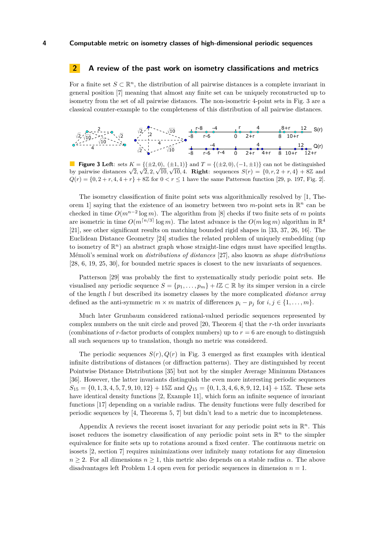# <span id="page-3-0"></span>**2 A review of the past work on isometry classifications and metrics**

For a finite set  $S \subset \mathbb{R}^n$ , the distribution of all pairwise distances is a complete invariant in general position [\[7\]](#page-12-1) meaning that almost any finite set can be uniquely reconstructed up to isometry from the set of all pairwise distances. The non-isometric 4-point sets in Fig. [3](#page-3-1) are a classical counter-example to the completeness of this distribution of all pairwise distances.

<span id="page-3-1"></span>

**Figure 3 Left**: sets  $K = \{(\pm 2, 0), (\pm 1, 1)\}$  and  $T = \{(\pm 2, 0), (-1, \pm 1)\}$  can not be distinguished **by pairwise distances**  $\sqrt{2}$ ,  $\sqrt{2}$ ,  $2$ ,  $\sqrt{10}$ ,  $\sqrt{10}$ , 4. **Right**: sequences  $S(r) = \{0, r, 2 + r, 4\} + 8\mathbb{Z}$  and by pairwise distances  $\sqrt{2}$ ,  $\sqrt{2}$ ,  $2$ ,  $\sqrt{10}$ ,  $\sqrt{10}$ , 4. **Right**: sequences  $S(r) = \{0, r$  $Q(r) = \{0, 2 + r, 4, 4 + r\} + 8\mathbb{Z}$  for  $0 < r \le 1$  have the same Patterson function [\[29,](#page-13-1) p. 197, Fig. 2].

The isometry classification of finite point sets was algorithmically resolved by [\[1,](#page-11-0) Theorem 1 saying that the existence of an isometry between two  $m$ -point sets in  $\mathbb{R}^n$  can be checked in time  $O(m^{n-2} \log m)$ . The algorithm from [\[8\]](#page-12-2) checks if two finite sets of *m* points are isometric in time  $O(m^{\lceil n/3 \rceil} \log m)$ . The latest advance is the  $O(m \log m)$  algorithm in  $\mathbb{R}^4$ [\[21\]](#page-12-3), see other significant results on matching bounded rigid shapes in [\[33,](#page-13-2) [37,](#page-13-3) [26,](#page-12-4) [16\]](#page-12-5). The Euclidean Distance Geometry [\[24\]](#page-12-6) studies the related problem of uniquely embedding (up to isometry of  $\mathbb{R}^n$ ) an abstract graph whose straight-line edges must have specified lengths. Mémoli's seminal work on *distributions of distances* [\[27\]](#page-13-4), also known as *shape distributions* [\[28,](#page-13-5) [6,](#page-12-7) [19,](#page-12-8) [25,](#page-12-9) [30\]](#page-13-6), for bounded metric spaces is closest to the new invariants of sequences.

Patterson [\[29\]](#page-13-1) was probably the first to systematically study periodic point sets. He visualised any periodic sequence  $S = \{p_1, \ldots, p_m\} + l\mathbb{Z} \subset \mathbb{R}$  by its simper version in a circle of the length *l* but described its isometry classes by the more complicated *distance array* defined as the anti-symmetric  $m \times m$  matrix of differences  $p_i - p_j$  for  $i, j \in \{1, \ldots, m\}$ .

Much later Grunbaum considered rational-valued periodic sequences represented by complex numbers on the unit circle and proved [\[20,](#page-12-10) Theorem 4] that the *r*-th order invariants (combinations of r-factor products of complex numbers) up to  $r = 6$  are enough to distinguish all such sequences up to translation, though no metric was considered.

The periodic sequences  $S(r)$ ,  $Q(r)$  in Fig. [3](#page-3-1) emerged as first examples with identical infinite distributions of distances (or diffraction patterns). They are distinguished by recent Pointwise Distance Distributions [\[35\]](#page-13-7) but not by the simpler Average Minimum Distances [\[36\]](#page-13-8). However, the latter invariants distinguish the even more interesting periodic sequences  $S_{15} = \{0, 1, 3, 4, 5, 7, 9, 10, 12\} + 15\mathbb{Z}$  and  $Q_{15} = \{0, 1, 3, 4, 6, 8, 9, 12, 14\} + 15\mathbb{Z}$ . These sets have identical density functions [\[2,](#page-11-1) Example 11], which form an infinite sequence of invariant functions [\[17\]](#page-12-11) depending on a variable radius. The density functions were fully described for periodic sequences by [\[4,](#page-12-12) Theorems 5, 7] but didn't lead to a metric due to incompleteness.

Appendix [A](#page-13-9) reviews the recent isoset invariant for any periodic point sets in  $\mathbb{R}^n$ . This isoset reduces the isometry classification of any periodic point sets in  $\mathbb{R}^n$  to the simpler equivalence for finite sets up to rotations around a fixed center. The continuous metric on isosets [\[2,](#page-11-1) section 7] requires minimizations over infinitely many rotations for any dimension  $n \geq 2$ . For all dimensions  $n \geq 1$ , this metric also depends on a stable radius  $\alpha$ . The above disadvantages left Problem [1.4](#page-2-0) open even for periodic sequences in dimension  $n = 1$ .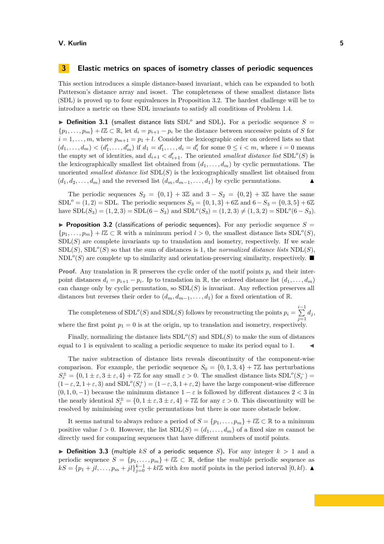## **3 Elastic metrics on spaces of isometry classes of periodic sequences**

This section introduces a simple distance-based invariant, which can be expanded to both Patterson's distance array and isoset. The completeness of these smallest distance lists (SDL) is proved up to four equivalences in Proposition [3.2.](#page-4-0) The hardest challenge will be to introduce a metric on these SDL invariants to satisfy all conditions of Problem [1.4.](#page-2-0)

 $\triangleright$  **Definition 3.1** (smallest distance lists SDL<sup>o</sup> and SDL). For a periodic sequence *S* =  $\{p_1, \ldots, p_m\} + l\mathbb{Z} \subset \mathbb{R}$ , let  $d_i = p_{i+1} - p_i$  be the distance between successive points of *S* for  $i = 1, \ldots, m$ , where  $p_{m+1} = p_1 + l$ . Consider the lexicographic order on ordered lists so that  $(d_1, ..., d_m) < (d'_1, ..., d'_m)$  if  $d_1 = d'_1, ..., d_i = d'_i$  for some  $0 \le i < m$ , where  $i = 0$  means the empty set of identities, and  $d_{i+1} < d'_{i+1}$ . The oriented *smallest distance list* SDL<sup>o</sup>(S) is the lexicographically smallest list obtained from  $(d_1, \ldots, d_m)$  by cyclic permutations. The unoriented *smallest distance list* SDL(*S*) is the lexicographically smallest list obtained from  $(d_1, d_2, \ldots, d_m)$  and the reversed list  $(d_m, d_{m-1}, \ldots, d_1)$  by cyclic permutations.

The periodic sequences  $S_2 = \{0,1\} + 3\mathbb{Z}$  and  $3 - S_2 = \{0,2\} + 3\mathbb{Z}$  have the same SDL<sup>o</sup> = (1, 2) = SDL. The periodic sequences  $S_3 = \{0, 1, 3\} + 6\mathbb{Z}$  and  $6 - S_3 = \{0, 3, 5\} + 6\mathbb{Z}$ have  $SDL(S_3) = (1, 2, 3) = SDL(6 - S_3)$  and  $SDL^o(S_3) = (1, 2, 3) \neq (1, 3, 2) = SDL^o(6 - S_3)$ .

<span id="page-4-0"></span>**• Proposition 3.2** (classifications of periodic sequences). For any periodic sequence  $S =$  ${p_1, \ldots, p_m} + l\mathbb{Z} \subset \mathbb{R}$  with a minimum period  $l > 0$ , the smallest distance lists SDL<sup>o</sup>(*S*),  $SDL(S)$  are complete invariants up to translation and isometry, respectively. If we scale  $SDL(S)$ ,  $SDL^{o}(S)$  so that the sum of distances is 1, the *normalized distance lists* NDL(*S*), NDL<sup> $o$ </sup>(S) are complete up to similarity and orientation-preserving similarity, respectively. ■

**Proof.** Any translation in  $\mathbb{R}$  preserves the cyclic order of the motif points  $p_i$  and their interpoint distances  $d_i = p_{i+1} - p_i$ . Ip to translation in R, the ordered distance list  $(d_1, \ldots, d_m)$ can change only by cyclic permutation, so SDL(*S*) is invariant. Any reflection preserves all distances but reverses their order to  $(d_m, d_{m-1}, \ldots, d_1)$  for a fixed orientation of R.

The completeness of  $SDL^{o}(S)$  and  $SDL(S)$  follows by reconstructing the points  $p_{i} = \sum_{i=1}^{i-1}$  $\sum_{j=1} d_j$ where the first point  $p_1 = 0$  is at the origin, up to translation and isometry, respectively.

Finally, normalizing the distance lists  $SDL^o(S)$  and  $SDL(S)$  to make the sum of distances equal to 1 is equivalent to scaling a periodic sequence to make its period equal to 1.  $\blacktriangleleft$ 

The naive subtraction of distance lists reveals discontinuity of the component-wise comparison. For example, the periodic sequence  $S_0 = \{0, 1, 3, 4\} + 7\mathbb{Z}$  has perturbations  $S_{\varepsilon}^{\pm} = \{0, 1 \pm \varepsilon, 3 \pm \varepsilon, 4\} + 7\mathbb{Z}$  for any small  $\varepsilon > 0$ . The smallest distance lists  $SDL^{o}(S_{\varepsilon}^{-}) =$  $(1-\varepsilon, 2, 1+\varepsilon, 3)$  and  $SDL^o(S^+_\varepsilon) = (1-\varepsilon, 3, 1+\varepsilon, 2)$  have the large component-wise difference  $(0, 1, 0, -1)$  because the minimum distance  $1 - \varepsilon$  is followed by different distances  $2 < 3$  in the nearly identical  $S_{\varepsilon}^{\pm} = \{0, 1 \pm \varepsilon, 3 \pm \varepsilon, 4\} + 7\mathbb{Z}$  for any  $\varepsilon > 0$ . This discontinuity will be resolved by minimising over cyclic permutations but there is one more obstacle below.

It seems natural to always reduce a period of  $S = \{p_1, \ldots, p_m\} + l\mathbb{Z} \subset \mathbb{R}$  to a minimum positive value  $l > 0$ . However, the list  $SDL(S) = (d_1, \ldots, d_m)$  of a fixed size *m* cannot be directly used for comparing sequences that have different numbers of motif points.

<span id="page-4-1"></span> $\triangleright$  **Definition 3.3** (multiple *kS* of a periodic sequence *S*). For any integer  $k > 1$  and a periodic sequence  $S = \{p_1, \ldots, p_m\} + l\mathbb{Z} \subset \mathbb{R}$ , define the *multiple* periodic sequence as  $kS = {p_1 + jl, ..., p_m + jl}^{k-1}_{j=0} + kl\mathbb{Z}$  with *km* motif points in the period interval [0*, kl*). ▲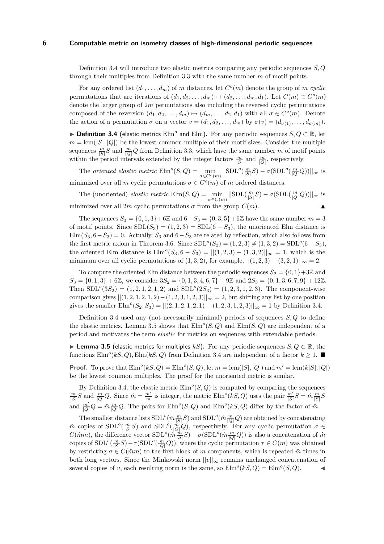Definition [3.4](#page-5-0) will introduce two elastic metrics comparing any periodic sequences *S, Q* through their multiples from Definition [3.3](#page-4-1) with the same number *m* of motif points.

For any ordered list  $(d_1, \ldots, d_m)$  of *m* distances, let  $C^o(m)$  denote the group of *m cyclic* permutations that are iterations of  $(d_1, d_2, \ldots, d_m) \mapsto (d_2, \ldots, d_m, d_1)$ . Let  $C(m) \supset C^o(m)$ denote the larger group of 2*m* permutations also including the reversed cyclic permutations composed of the reversion  $(d_1, d_2, \ldots, d_m) \mapsto (d_m, \ldots, d_2, d_1)$  with all  $\sigma \in C^o(m)$ . Denote the action of a permutation  $\sigma$  on a vector  $v = (d_1, d_2, \ldots, d_m)$  by  $\sigma(v) = (d_{\sigma(1)}, \ldots, d_{\sigma(m)})$ .

<span id="page-5-0"></span>▶ **Definition 3.4** (elastic metrics Elm*<sup>o</sup>* and Elm)**.** For any periodic sequences *S, Q* ⊂ R, let  $m = \text{lcm}(|S|, |Q|)$  be the lowest common multiple of their motif sizes. Consider the multiple sequences  $\frac{m}{|S|}S$  and  $\frac{m}{|Q|}Q$  from Definition [3.3,](#page-4-1) which have the same number *m* of motif points within the period intervals extended by the integer factors  $\frac{m}{|S|}$  and  $\frac{m}{|Q|}$ , respectively.

The *oriented elastic metric*  $\text{Elm}^o(S, Q) = \min_{\sigma \in C^o(m)} ||\text{SDL}^o(\frac{m}{|S|}S) - \sigma(\text{SDL}^o(\frac{m}{|Q|}Q))||_{\infty}$  is minimized over all *m* cyclic permutations  $\sigma \in C^{o}(m)$  of *m* ordered distances.

The (unoriented) *elastic metric*  $\text{Elm}(S, Q) = \min_{\sigma \in C(m)} ||\text{SDL}(\frac{m}{|S|}S) - \sigma(\text{SDL}(\frac{m}{|Q|}Q))||_{\infty}$  is minimized over all 2*m* cyclic permutations  $\sigma$  from the group  $C(m)$ .

The sequences  $S_3 = \{0, 1, 3\} + 6\mathbb{Z}$  and  $6 - S_3 = \{0, 3, 5\} + 6\mathbb{Z}$  have the same number  $m = 3$ of motif points. Since  $SDL(S_3) = (1, 2, 3) = SDL(6 - S_3)$ , the unoriented Elm distance is  $\text{Elm}(S_3, 6-S_3) = 0.$  Actually,  $S_3$  and  $6-S_3$  are related by reflection, which also follows from the first metric axiom in Theorem [3.6.](#page-6-0) Since  $SDL^o(S_3) = (1, 2, 3) \neq (1, 3, 2) = SDL^o(6 - S_3)$ , the oriented Elm distance is  $\text{Elm}^o(S_3, 6 - S_3) = ||(1, 2, 3) - (1, 3, 2)||_{\infty} = 1$ , which is the minimum over all cyclic permutations of  $(1,3,2)$ , for example,  $||(1,2,3)-(3,2,1)||_{\infty}=2$ .

To compute the oriented Elm distance between the periodic sequences  $S_2 = \{0, 1\} + 3\mathbb{Z}$  and  $S_3 = \{0, 1, 3\} + 6\mathbb{Z}$ , we consider  $3S_2 = \{0, 1, 3, 4, 6, 7\} + 9\mathbb{Z}$  and  $2S_3 = \{0, 1, 3, 6, 7, 9\} + 12\mathbb{Z}$ . Then  $SDL^{o}(3S_{2}) = (1, 2, 1, 2, 1, 2)$  and  $SDL^{o}(2S_{3}) = (1, 2, 3, 1, 2, 3)$ . The component-wise comparison gives  $||(1, 2, 1, 2, 1, 2) - (1, 2, 3, 1, 2, 3)||_{\infty} = 2$ , but shifting any list by one position gives the smaller  $\text{Elm}^o(S_2, S_3) = ||(2, 1, 2, 1, 2, 1) - (1, 2, 3, 1, 2, 3)||_{\infty} = 1$  by Definition [3.4.](#page-5-0)

Definition [3.4](#page-5-0) used any (not necessarily minimal) periods of sequences *S, Q* to define the elastic metrics. Lemma [3.5](#page-5-1) shows that  $\text{Elm}^o(S, Q)$  and  $\text{Elm}(S, Q)$  are independent of a period and motivates the term *elastic* for metrics on sequences with extendable periods.

<span id="page-5-1"></span>▶ **Lemma 3.5** (elastic metrics for multiples *kS*)**.** For any periodic sequences *S, Q* ⊂ R, the functions  $\text{Elm}^o(kS, Q)$ ,  $\text{Elm}(kS, Q)$  from Definition [3.4](#page-5-0) are independent of a factor  $k \geq 1$ .

**Proof.** To prove that  $\text{Elm}^o(kS, Q) = \text{Elm}^o(S, Q)$ , let  $m = \text{lcm}(|S|, |Q|)$  and  $m' = \text{lcm}(k|S|, |Q|)$ be the lowest common multiples. The proof for the unoriented metric is similar.

By Definition [3.4,](#page-5-0) the elastic metric  $\text{Elm}^o(S, Q)$  is computed by comparing the sequences  $\frac{m}{|S|}S$  and  $\frac{m}{|Q|}Q$ . Since  $\hat{m} = \frac{m'}{m}$  is integer, the metric  $\text{Elm}^o(kS,Q)$  uses the pair  $\frac{m'}{|S|}S = \hat{m}\frac{m}{|S|}S$ and  $\frac{m'}{|Q|}Q = \hat{m}\frac{m}{|Q|}Q$ . The pairs for  $\text{Elm}^o(S, Q)$  and  $\text{Elm}^o(kS, Q)$  differ by the factor of  $\hat{m}$ .

The smallest distance lists  $SDL^o(\hat{m}\frac{m}{|S|}S)$  and  $SDL^o(\hat{m}\frac{m}{|Q|}Q)$  are obtained by concatenating  $\hat{m}$  copies of  $SDL^o(\frac{m}{|S|}S)$  and  $SDL^o(\frac{m}{|Q|}Q)$ , respectively. For any cyclic permutation  $\sigma \in$  $C(\hat{m}m)$ , the difference vector  $SDL^o(\hat{m}\frac{m}{|S|}S) - \sigma(SDL^o(\hat{m}\frac{m}{|Q|}Q))$  is also a concatenation of  $\hat{m}$ copies of  $SDL^o(\frac{m}{|S|}S) - \tau(SDL^o(\frac{m}{|Q|}Q))$ , where the cyclic permutation  $\tau \in C(m)$  was obtained by restricting  $\sigma \in C(\hat{m}m)$  to the first block of *m* components, which is repeated  $\hat{m}$  times in both long vectors. Since the Minkowski norm  $||v||_{\infty}$  remains unchanged concatenation of several copies of *v*, each resulting norm is the same, so  $\text{Elm}^o(kS, Q) = \text{Elm}^o(S, Q)$ .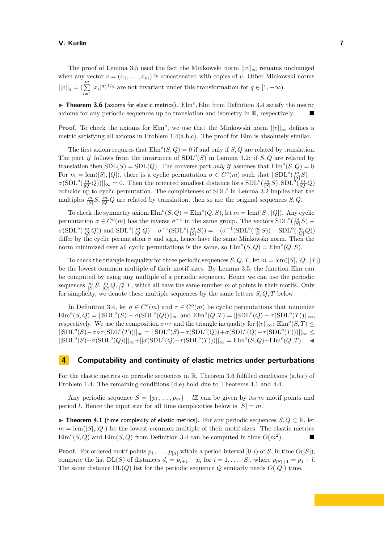The proof of Lemma [3.5](#page-5-1) used the fact the Minkowski norm  $||v||_{\infty}$  remains unchanged when any vector  $v = (x_1, \ldots, x_m)$  is concatenated with copies of *v*. Other Minkowski norms  $||v||_q = \left(\sum_{i=1}^m |x_i|^q\right)^{1/q}$  are not invariant under this transformation for  $q \in [1, +\infty)$ .

<span id="page-6-0"></span>▶ Theorem 3.6 (axioms for elastic metrics). Elm<sup>o</sup>, Elm from Definition [3.4](#page-5-0) satisfy the metric axioms for any periodic sequences up to translation and isometry in  $\mathbb{R}$ , respectively.

**Proof.** To check the axioms for Elm<sup>o</sup>, we use that the Minkowski norm  $||v||_{\infty}$  defines a metric satisfying all axioms in Problem [1.4\(](#page-2-0)a,b,c). The proof for Elm is absolutely similar.

The first axiom requires that  $\text{Elm}^o(S, Q) = 0$  if and only if *S*, *Q* are related by translation. The part *if* follows from the invariance of  $SDL^o(S)$  in Lemma [3.2:](#page-4-0) if *S*, *Q* are related by translation then  $SDL(S) = SDL(Q)$ . The converse part *only if* assumes that  $Elm^o(S, Q) = 0$ . For  $m = \text{lcm}(|S|, |Q|)$ , there is a cyclic permutation  $\sigma \in C^o(m)$  such that  $||SDL^o(\frac{m}{|S|}S) \sigma(\text{SDL}^o(\frac{m}{|Q|}Q))||_{\infty} = 0$ . Then the oriented smallest distance lists  $\text{SDL}^o(\frac{m}{|S|}S)$ ,  $\text{SDL}^o(\frac{m}{|Q|}Q)$ coincide up to cyclic permutation. The completeness of  $SDL<sup>o</sup>$  in Lemma [3.2](#page-4-0) implies that the multiples  $\frac{m}{|S|}S$ ,  $\frac{m}{|Q|}Q$  are related by translation, then so are the original sequences *S*, *Q*.

To check the symmetry axiom  $\text{Elm}^o(S, Q) = \text{Elm}^o(Q, S)$ , let  $m = \text{lcm}(|S|, |Q|)$ . Any cyclic permutation  $\sigma \in C^o(m)$  has the inverse  $\sigma^{-1}$  in the same group. The vectors  $SDL^o(\frac{m}{|S|}S)$  –  $\sigma(SDL^o(\frac{m}{|Q|}Q))$  and  $SDL^o(\frac{m}{|Q|}Q) - \sigma^{-1}(SDL^o(\frac{m}{|S|}S)) = -(\sigma^{-1}(SDL^o(\frac{m}{|S|}S)) - SDL^o(\frac{m}{|Q|}Q))$ differ by the cyclic permutation  $\sigma$  and sign, hence have the same Minkowski norm. Then the norm minimized over all cyclic permutations is the same, so  $\text{Elm}^o(S, Q) = \text{Elm}^o(Q, S)$ .

To check the triangle inequality for three periodic sequences  $S, Q, T$ , let  $m = \text{lcm}(|S|, |Q|, |T|)$ be the lowest common multiple of their motif sizes. By Lemma [3.5,](#page-5-1) the function Elm can be computed by using any multiple of a periodic sequence. Hence we can use the periodic sequences  $\frac{m}{|S|}S$ ,  $\frac{m}{|Q|}Q$ ,  $\frac{m}{|T|}T$ , which all have the same number *m* of points in their motifs. Only for simplicity, we denote these multiple sequences by the same letters *S, Q, T* below.

In Definition [3.4,](#page-5-0) let  $\sigma \in C^o(m)$  and  $\tau \in C^o(m)$  be cyclic permutations that minimize  $\text{Elm}^o(S, Q) = ||\text{SDL}^o(S) - \sigma(\text{SDL}^o(Q))||_{\infty}$  and  $\text{Elm}^o(Q, T) = ||\text{SDL}^o(Q) - \sigma(\text{SDL}^o(T))||_{\infty}$ respectively. We use the composition  $\sigma \circ \tau$  and the triangle inequality for  $||v||_{\infty}$ : Elm<sup>o</sup> $(S,T) \le$  $||\text{SDL}^o(S) - \sigma \circ \tau(\text{SDL}^o(T))||_{\infty} = ||\text{SDL}^o(S) - \sigma(\text{SDL}^o(Q)) + \sigma(\text{SDL}^o(Q) - \tau(\text{SDL}^o(T)))||_{\infty} \le$  $||\text{SDL}^o(S) - \sigma(\text{SDL}^o(Q))||_{\infty} + ||\sigma(\text{SDL}^o(Q) - \tau(\text{SDL}^o(T)))||_{\infty} = \text{Elm}^o(S,Q) + \text{Elm}^o(Q,T)$ . ◀

## **4 Computability and continuity of elastic metrics under perturbations**

For the elastic metrics on periodic sequences in  $\mathbb{R}$ , Theorem [3.6](#page-6-0) fulfilled conditions (a,b,c) of Problem [1.4.](#page-2-0) The remaining conditions (d,e) hold due to Theorems [4.1](#page-6-1) and [4.4.](#page-7-0)

Any periodic sequence  $S = \{p_1, \ldots, p_m\} + l\mathbb{Z}$  can be given by its *m* motif points and period *l*. Hence the input size for all time complexities below is  $|S| = m$ .

<span id="page-6-1"></span>▶ **Theorem 4.1** (time complexity of elastic metrics)**.** For any periodic sequences *S, Q* ⊂ R, let  $m = \text{lcm}(|S|, |Q|)$  be the lowest common multiple of their motif sizes. The elastic metrics Elm<sup>o</sup>(*S*, *Q*) and Elm(*S*, *Q*) from Definition [3.4](#page-5-0) can be computed in time  $O(m^2)$ .

**Proof.** For ordered motif points  $p_1, \ldots, p_{|S|}$  within a period interval  $[0, l)$  of *S*, in time  $O(|S|)$ , compute the list  $DL(S)$  of distances  $d_i = p_{i+1} - p_i$  for  $i = 1, \ldots, |S|$ , where  $p_{|S|+1} = p_1 + l$ . The same distance  $DL(Q)$  list for the periodic sequence Q similarly needs  $O(|Q|)$  time.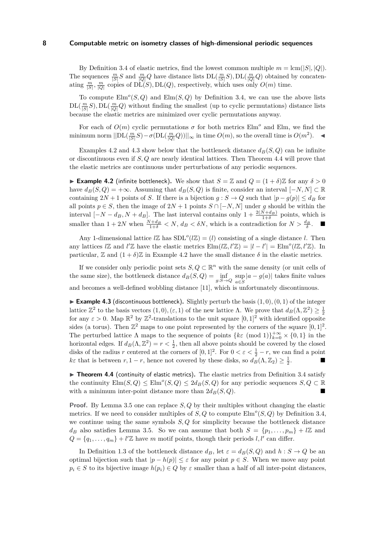By Definition [3.4](#page-5-0) of elastic metrics, find the lowest common multiple  $m = \text{lcm}(|S|, |Q|)$ . The sequences  $\frac{m}{|S|}S$  and  $\frac{m}{|Q|}Q$  have distance lists  $DL(\frac{m}{|S|}S)$ ,  $DL(\frac{m}{|Q|}Q)$  obtained by concatenating  $\frac{m}{|S|}$ ,  $\frac{m}{|Q|}$  copies of  $\text{DL}(S)$ ,  $\text{DL}(Q)$ , respectively, which uses only  $O(m)$  time.

To compute  $\text{Elm}^o(S, Q)$  and  $\text{Elm}(S, Q)$  by Definition [3.4,](#page-5-0) we can use the above lists  $\text{DL}(\frac{m}{|S|}S), \text{DL}(\frac{m}{|Q|}Q)$  without finding the smallest (up to cyclic permutations) distance lists because the elastic metrics are minimized over cyclic permutations anyway.

For each of  $O(m)$  cyclic permutations  $\sigma$  for both metrics Elm<sup>o</sup> and Elm, we find the minimum norm  $||DL(\frac{m}{|S|}S) - \sigma (DL(\frac{m}{|Q|}Q))||_{\infty}$  in time  $O(m)$ , so the overall time is  $O(m^2)$ .

Examples [4.2](#page-7-1) and [4.3](#page-7-2) show below that the bottleneck distance  $d_B(S, Q)$  can be infinite or discontinuous even if *S, Q* are nearly identical lattices. Then Theorem [4.4](#page-7-0) will prove that the elastic metrics are continuous under perturbations of any periodic sequences.

<span id="page-7-1"></span>**Example 4.2** (infinite bottleneck). We show that  $S = \mathbb{Z}$  and  $Q = (1 + \delta)\mathbb{Z}$  for any  $\delta > 0$ have  $d_B(S, Q) = +\infty$ . Assuming that  $d_B(S, Q)$  is finite, consider an interval  $[-N, N] \subset \mathbb{R}$ containing  $2N + 1$  points of *S*. If there is a bijection  $g : S \to Q$  such that  $|p - g(p)| \le d_B$  for all points  $p \in S$ , then the image of  $2N + 1$  points  $S \cap [-N, N]$  under  $g$  should be within the interval  $[-N - d_B, N + d_B]$ . The last interval contains only  $1 + \frac{2(N + d_B)}{1 + \delta}$  points, which is smaller than  $1 + 2N$  when  $\frac{N+d_B}{1+\delta} < N$ ,  $d_B < \delta N$ , which is a contradiction for  $N > \frac{d_B}{\delta}$ .

Any 1-dimensional lattice  $l\mathbb{Z}$  has  $SDL^{o}(l\mathbb{Z}) = (l)$  consisting of a single distance *l*. Then any lattices  $l\mathbb{Z}$  and  $l'\mathbb{Z}$  have the elastic metrics  $\text{Elm}(l\mathbb{Z}, l'\mathbb{Z}) = |l - l'| = \text{Elm}^o(l\mathbb{Z}, l'\mathbb{Z})$ . In particular, Z and  $(1 + \delta)Z$  in Example [4.2](#page-7-1) have the small distance  $\delta$  in the elastic metrics.

If we consider only periodic point sets  $S, Q \subset \mathbb{R}^n$  with the same density (or unit cells of the same size), the bottleneck distance  $d_B(S, Q) = \inf_{g: S \to Q} \sup_{a \in S} |a - g(a)|$  takes finite values and becomes a well-defined wobbling distance [\[11\]](#page-12-13), which is unfortunately discontinuous.

<span id="page-7-2"></span> $\blacktriangleright$  **Example 4.3** (discontinuous bottleneck). Slightly perturb the basis  $(1,0), (0,1)$  of the integer lattice  $\mathbb{Z}^2$  to the basis vectors  $(1,0), (\varepsilon,1)$  of the new lattice Λ. We prove that  $d_B(\Lambda, \mathbb{Z}^2) \geq \frac{1}{2}$ for any  $\varepsilon > 0$ . Map  $\mathbb{R}^2$  by  $\mathbb{Z}^2$ -translations to the unit square  $[0,1]^2$  with identified opposite sides (a torus). Then  $\mathbb{Z}^2$  maps to one point represented by the corners of the square  $[0,1]^2$ . The perturbed lattice  $\Lambda$  maps to the sequence of points  $\{k\varepsilon \pmod{1}\}_{k=0}^{+\infty} \times \{0,1\}$  in the horizontal edges. If  $d_B(\Lambda, \mathbb{Z}^2) = r < \frac{1}{2}$ , then all above points should be covered by the closed disks of the radius *r* centered at the corners of  $[0,1]^2$ . For  $0 < \varepsilon < \frac{1}{2} - r$ , we can find a point *kε* that is between  $r, 1-r$ , hence not covered by these disks, so  $d_B(\Lambda, \mathbb{Z}_2) \geq \frac{1}{2}$ . ■

<span id="page-7-0"></span>▶ **Theorem 4.4** (continuity of elastic metrics). The elastic metrics from Definition [3.4](#page-5-0) satisfy the continuity  $\text{Elm}(S, Q) \leq \text{Elm}^o(S, Q) \leq 2d_B(S, Q)$  for any periodic sequences  $S, Q \subset \mathbb{R}$ with a minimum inter-point distance more than  $2d_B(S,Q)$ .

**Proof.** By Lemma [3.5](#page-5-1) one can replace *S, Q* by their multiples without changing the elastic metrics. If we need to consider multiples of  $S, Q$  to compute  $\text{Elm}^o(S, Q)$  by Definition [3.4,](#page-5-0) we continue using the same symbols *S, Q* for simplicity because the bottleneck distance  $d_B$  also satisfies Lemma [3.5.](#page-5-1) So we can assume that both  $S = \{p_1, \ldots, p_m\} + l\mathbb{Z}$  and  $Q = \{q_1, \ldots, q_m\} + l'\mathbb{Z}$  have *m* motif points, though their periods *l*, *l'* can differ.

In Definition [1.3](#page-1-3) of the bottleneck distance  $d_B$ , let  $\varepsilon = d_B(S, Q)$  and  $h : S \to Q$  be an optimal bijection such that  $|p - h(p)| \leq \varepsilon$  for any point  $p \in S$ . When we move any point  $p_i \in S$  to its bijective image  $h(p_i) \in Q$  by  $\varepsilon$  smaller than a half of all inter-point distances,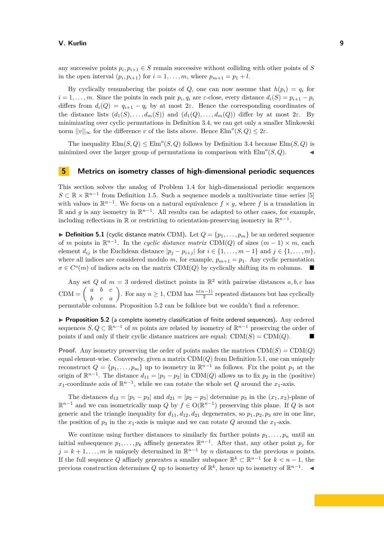any successive points  $p_i, p_{i+1} \in S$  remain successive without colliding with other points of *S* in the open interval  $(p_i, p_{i+1})$  for  $i = 1, ..., m$ , where  $p_{m+1} = p_1 + l$ .

By cyclically renumbering the points of *Q*, one can now assume that  $h(p_i) = q_i$  for  $i = 1, \ldots, m$ . Since the points in each pair  $p_i, q_i$  are  $\varepsilon$ -close, every distance  $d_i(S) = p_{i+1} - p_i$ differs from  $d_i(Q) = q_{i+1} - q_i$  by at most 2*ε*. Hence the corresponding coordinates of the distance lists  $(d_1(S),...,d_m(S))$  and  $(d_1(Q),...,d_m(Q))$  differ by at most  $2\varepsilon$ . By minimizating over cyclic permutations in Definition [3.4,](#page-5-0) we can get only a smaller Minkowski norm  $||v||_{\infty}$  for the difference *v* of the lists above. Hence  $\text{Elm}^o(S, Q) \leq 2\varepsilon$ .

The inequality  $\text{Elm}(S, Q) \leq \text{Elm}^o(S, Q)$  follows by Definition [3.4](#page-5-0) because  $\text{Elm}(S, Q)$  is minimized over the larger group of permutations in comparison with  $\text{Elm}^o(S, Q)$ .

## **5 Metrics on isometry classes of high-dimensional periodic sequences**

This section solves the analog of Problem [1.4](#page-2-0) for high-dimensional periodic sequences *S* ⊂  $\mathbb{R} \times \mathbb{R}^{n-1}$  from Definition [1.5.](#page-2-1) Such a sequence models a multivariate time series [\[5\]](#page-12-14) with values in  $\mathbb{R}^{n-1}$ . We focus on a natural equivalence  $f \times g$ , where f is a translation in R and *g* is any isometry in  $\mathbb{R}^{n-1}$ . All results can be adapted to other cases, for example, including reflections in  $\mathbb R$  or restricting to orientation-preserving isometry in  $\mathbb R^{n-1}$ .

<span id="page-8-1"></span> $\triangleright$  **Definition 5.1** (cyclic distance matrix CDM). Let  $Q = \{p_1, \ldots, p_m\}$  be an ordered sequence of *m* points in  $\mathbb{R}^{n-1}$ . In the *cyclic distance matrix* CDM(*Q*) of sizes  $(m-1) \times m$ , each element  $d_{ij}$  is the Euclidean distance  $|p_j - p_{i+j}|$  for  $i \in \{1, \ldots, m-1\}$  and  $j \in \{1, \ldots, m\}$ , where all indices are considered modulo *m*, for example,  $p_{m+1} = p_1$ . Any cyclic permutation  $\sigma \in C^o(m)$  of indices acts on the matrix CDM(*Q*) by cyclically shifting its *m* columns.

Any set *Q* of  $m = 3$  ordered distinct points in  $\mathbb{R}^2$  with pairwise distances  $a, b, c$  has CDM =  $\begin{pmatrix} a & b & c \\ b & c & a \end{pmatrix}$ . For any  $n \ge 1$ , CDM has  $\frac{n(n-1)}{2}$  repeated distances but has cyclically permutable columns. Proposition [5.2](#page-8-0) can be folklore but we couldn't find a reference.

<span id="page-8-0"></span>▶ **Proposition 5.2** (a complete isometry classification of finite ordered sequences). Any ordered sequences  $S, Q \subset \mathbb{R}^{n-1}$  of *m* points are related by isometry of  $\mathbb{R}^{n-1}$  preserving the order of points if and only if their cyclic distance matrices are equal:  $CDM(S) = CDM(Q)$ .

**Proof.** Any isometry preserving the order of points makes the matrices  $CDM(S) = CDM(Q)$ equal element-wise. Conversely, given a matrix  $CDM(Q)$  from Definition [5.1,](#page-8-1) one can uniquely reconstruct  $Q = \{p_1, \ldots, p_m\}$  up to isometry in  $\mathbb{R}^{n-1}$  as follows. Fix the point  $p_1$  at the origin of  $\mathbb{R}^{n-1}$ . The distance  $d_{11} = |p_1 - p_2|$  in CDM(*Q*) allows us to fix  $p_2$  in the (positive) *x*<sub>1</sub>-coordinate axis of  $\mathbb{R}^{n-1}$ , while we can rotate the whole set *Q* around the *x*<sub>1</sub>-axis.

The distances  $d_{12} = |p_1 - p_3|$  and  $d_{21} = |p_2 - p_3|$  determine  $p_3$  in the  $(x_1, x_2)$ -plane of  $\mathbb{R}^{n-1}$  and we can isometrically map *Q* by *f* ∈ O( $\mathbb{R}^{n-1}$ ) preserving this plane. If *Q* is not generic and the triangle inequality for  $d_{11}, d_{12}, d_{21}$  degenerates, so  $p_1, p_2, p_3$  are in one line, the position of  $p_3$  in the  $x_1$ -axis is unique and we can rotate  $Q$  around the  $x_1$ -axis.

<span id="page-8-2"></span>We continue using further distances to similarly fix further points  $p_1, \ldots, p_n$  until an initial subsequence  $p_1, \ldots, p_k$  affinely generates  $\mathbb{R}^{n-1}$ . After that, any other point  $p_j$  for  $j = k + 1, \ldots, m$  is uniquely determined in  $\mathbb{R}^{n-1}$  by *n* distances to the previous *n* points. If the full sequence Q affinely generates a smaller subspace  $\mathbb{R}^k \subset \mathbb{R}^{n-1}$  for  $k < n-1$ , the previous construction determines Q up to isometry of  $\mathbb{R}^k$ , hence up to isometry of  $\mathbb{R}^{n-1}$ .  $\blacktriangleleft$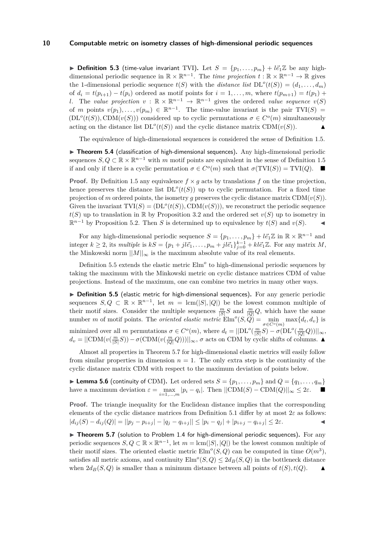**• Definition 5.3** (time-value invariant TVI). Let  $S = \{p_1, \ldots, p_m\} + l\vec{e}_1\mathbb{Z}$  be any highdimensional periodic sequence in  $\mathbb{R} \times \mathbb{R}^{n-1}$ . The *time projection*  $t : \mathbb{R} \times \mathbb{R}^{n-1} \to \mathbb{R}$  gives the 1-dimensional periodic sequence  $t(S)$  with the *distance list*  $DL^o(t(S)) = (d_1, \ldots, d_m)$ of  $d_i = t(p_{i+1}) - t(p_i)$  ordered as motif points for  $i = 1, \ldots, m$ , where  $t(p_{m+1}) = t(p_1) +$ *l*. The *value projection*  $v : \mathbb{R} \times \mathbb{R}^{n-1} \to \mathbb{R}^{n-1}$  gives the ordered *value sequence*  $v(S)$ of *m* points  $v(p_1), \ldots, v(p_m) \in \mathbb{R}^{n-1}$ . The time-value invariant is the pair TVI(*S*) =  $(DL<sup>o</sup>(t(S)), CDM(v(S)))$  considered up to cyclic permutations  $\sigma \in C<sup>o</sup>(m)$  simultaneously acting on the distance list  $DL^o(t(S))$  and the cyclic distance matrix CDM $(v(S))$ .

The equivalence of high-dimensional sequences is considered the sense of Definition [1.5.](#page-2-1)

<span id="page-9-0"></span>▶ **Theorem 5.4** (classification of high-dimensional sequences). Any high-dimensional periodic sequences  $S, Q \subset \mathbb{R} \times \mathbb{R}^{n-1}$  with *m* motif points are equivalent in the sense of Definition [1.5](#page-2-1) if and only if there is a cyclic permutation  $\sigma \in C^o(m)$  such that  $\sigma(TVI(S)) = TVI(Q)$ . ■

**Proof.** By Definition [1.5](#page-2-1) any equivalence  $f \times g$  acts by translations  $f$  on the time projection, hence preserves the distance list  $DL^o(t(S))$  up to cyclic permutation. For a fixed time projection of *m* ordered points, the isometry *g* preserves the cyclic distance matrix  $CDM(v(S))$ . Given the invariant  $TVI(S) = (DL^o(t(S)), CDM(v(S))),$  we reconstruct the periodic sequence  $t(S)$  up to translation in R by Proposition [3.2](#page-4-0) and the ordered set  $v(S)$  up to isometry in  $\mathbb{R}^{n-1}$  by Proposition [5.2.](#page-8-0) Then *S* is determined up to equivalence by  $t(S)$  and  $v(S)$ .

For any high-dimensional periodic sequence  $S = \{p_1, \ldots, p_m\} + l\vec{e}_1 \mathbb{Z}$  in  $\mathbb{R} \times \mathbb{R}^{n-1}$  and integer  $k \geq 2$ , its *multiple* is  $kS = \{p_1 + j l \vec{e}_1, \dots, p_m + j l \vec{e}_1\}_{j=0}^{k-1} + k l \vec{e}_1 \mathbb{Z}$ . For any matrix  $M$ , the Minkowski norm  $||M||_{\infty}$  is the maximum absolute value of its real elements.

Definition [5.5](#page-9-2) extends the elastic metric  $\text{Elm}^o$  to high-dimensional periodic sequences by taking the maximum with the Minkowski metric on cyclic distance matrices CDM of value projections. Instead of the maximum, one can combine two metrics in many other ways.

<span id="page-9-2"></span>▶ **Definition 5.5** (elastic metric for high-dimensional sequences). For any generic periodic sequences  $S, Q \subset \mathbb{R} \times \mathbb{R}^{n-1}$ , let  $m = \text{lcm}(|S|, |Q|)$  be the lowest common multiple of their motif sizes. Consider the multiple sequences  $\frac{m}{|S|}S$  and  $\frac{m}{|Q|}Q$ , which have the same number *m* of motif points. The *oriented elastic metric*  $\text{Elm}^o(S, \widetilde{Q}) = \min_{\sigma \in C^o(m)} \max\{d_t, d_v\}$  is minimized over all *m* permutations  $\sigma \in C^o(m)$ , where  $d_t = ||DL^o(\frac{m}{|S|}S) - \sigma (DL^o(\frac{m}{|Q|}Q))||_{\infty}$ ,  $d_v = ||CDM(v(\frac{m}{|S|}S)) - \sigma(CDM(v(\frac{m}{|Q|}Q)))||_{\infty}, \sigma$  acts on CDM by cyclic shifts of columns.  $\blacktriangle$ 

Almost all properties in Theorem [5.7](#page-9-1) for high-dimensional elastic metrics will easily follow from similar properties in dimension  $n = 1$ . The only extra step is the continuity of the cyclic distance matrix CDM with respect to the maximum deviation of points below.

<span id="page-9-3"></span> $\blacktriangleright$  **Lemma 5.6** (continuity of CDM). Let ordered sets  $S = \{p_1, \ldots, p_m\}$  and  $Q = \{q_1, \ldots, q_m\}$ have a maximum deviation  $\varepsilon = \max_{i=1,\dots,m} |p_i - q_i|$ . Then  $||CDM(S) - CDM(Q)||_{\infty} \leq 2\varepsilon$ .

**Proof.** The triangle inequality for the Euclidean distance implies that the corresponding elements of the cyclic distance matrices from Definition [5.1](#page-8-1) differ by at most  $2\varepsilon$  as follows:  $|d_{ij}(S) - d_{ij}(Q)| = ||p_i - p_{i+1}|| - |q_i - q_{i+1}|| \leq |p_i - q_i| + |p_{i+1} - q_{i+1}| \leq 2\varepsilon.$ 

<span id="page-9-1"></span>▶ Theorem 5.7 (solution to Problem [1.4](#page-2-0) for high-dimensional periodic sequences). For any periodic sequences  $S, Q \subset \mathbb{R} \times \mathbb{R}^{n-1}$ , let  $m = \text{lcm}(|S|, |Q|)$  be the lowest common multiple of their motif sizes. The oriented elastic metric  $\text{Elm}^o(S, Q)$  can be computed in time  $O(m^3)$ , satisfies all metric axioms, and continuity  $\text{Elm}^o(S, Q) \leq 2d_B(S, Q)$  in the bottleneck distance when  $2d_B(S, Q)$  is smaller than a minimum distance between all points of  $t(S), t(Q)$ .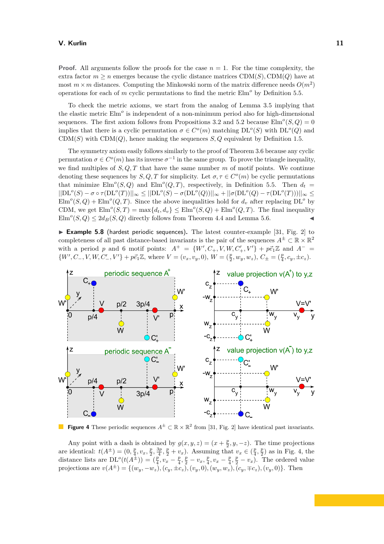**Proof.** All arguments follow the proofs for the case  $n = 1$ . For the time complexity, the extra factor  $m \ge n$  emerges because the cyclic distance matrices CDM(*S*), CDM(*Q*) have at most  $m \times m$  distances. Computing the Minkowski norm of the matrix difference needs  $O(m^2)$ operations for each of *m* cyclic permutations to find the metric Elm*<sup>o</sup>* by Definition [5.5.](#page-9-2)

To check the metric axioms, we start from the analog of Lemma [3.5](#page-5-1) implying that the elastic metric  $\text{Elm}^o$  is independent of a non-minimum period also for high-dimensional sequences. The first axiom follows from Propositions [3.2](#page-4-0) and [5.2](#page-8-0) because  $\text{Elm}^o(S, Q) = 0$ implies that there is a cyclic permutation  $\sigma \in C^o(m)$  matching  $DL^o(S)$  with  $DL^o(Q)$  and CDM $(S)$  with CDM $(Q)$ , hence making the sequences *S*, *Q* equivalent by Definition [1.5.](#page-2-1)

The symmetry axiom easily follows similarly to the proof of Theorem [3.6](#page-6-0) because any cyclic permutation  $\sigma \in C^o(m)$  has its inverse  $\sigma^{-1}$  in the same group. To prove the triangle inequality, we find multiples of *S, Q, T* that have the same number *m* of motif points. We continue denoting these sequences by *S*, *Q*, *T* for simplicity. Let  $\sigma$ ,  $\tau \in C^o(m)$  be cyclic permutations that minimize  $\text{Elm}^o(S, Q)$  and  $\text{Elm}^o(Q, T)$ , respectively, in Definition [5.5.](#page-9-2) Then  $d_t =$  $||DL^o(S) - \sigma \circ \tau (DL^o(T))||_{\infty} \leq ||DL^o(S) - \sigma (DL^o(Q))||_{\infty} + ||\sigma (DL^o(Q) - \tau (DL^o(T)))||_{\infty} \leq$  $\text{Elm}^o(S, Q) + \text{Elm}^o(Q, T)$ . Since the above inequalities hold for  $d_v$  after replacing DL<sup>o</sup> by CDM, we get  $\text{Elm}^o(S,T) = \max\{d_t, d_v\} \leq \text{Elm}^o(S,Q) + \text{Elm}^o(Q,T)$ . The final inequality Elm<sup>o</sup>(S, Q)  $\leq 2d_B(S, Q)$  directly follows from Theorem [4.4](#page-7-0) and Lemma [5.6.](#page-9-3)

<span id="page-10-1"></span>▶ **Example 5.8** (hardest periodic sequences). The latest counter-example [\[31,](#page-13-10) Fig. 2] to completeness of all past distance-based invariants is the pair of the sequences  $A^{\pm} \subset \mathbb{R} \times \mathbb{R}^2$ with a period *p* and 6 motif points:  $A^+ = \{W', C_+, V, W, C'_+, V'\} + p\vec{e}_1\mathbb{Z}$  and  $A^- =$  $\{W', C_-, V, W, C'_-, V'\} + p\vec{e}_1 \mathbb{Z}$ , where  $V = (v_x, v_y, 0), W = (\frac{p}{2}, w_y, w_z), C_{\pm} = (\frac{p}{4}, c_y, \pm c_z)$ .

<span id="page-10-0"></span>

**Figure 4** These periodic sequences  $A^{\pm} \subset \mathbb{R} \times \mathbb{R}^2$  from [\[31,](#page-13-10) Fig. 2] have identical past invariants.

Any point with a dash is obtained by  $g(x, y, z) = (x + \frac{p}{2}, y, -z)$ . The time projections are identical:  $t(A^{\pm}) = (0, \frac{p}{4}, v_x, \frac{p}{2}, \frac{3p}{4}, \frac{p}{2}+v_x)$ . Assuming that  $v_x \in (\frac{p}{4}, \frac{p}{2})$  as in Fig. [4,](#page-10-0) the distance lists are  $DL^o(t(A^{\pm})) = (\frac{p}{4}, v_x - \frac{p}{4}, \frac{p}{2} - v_x, \frac{p}{4}, v_x - \frac{p}{4}, \frac{p}{2} - v_x)$ . The ordered value projections are  $v(A^{\pm}) = \{(w_y, -w_z), (c_y, \pm c_z), (v_y, 0), (w_y, w_z), (c_y, \mp c_z), (v_y, 0)\}.$  Then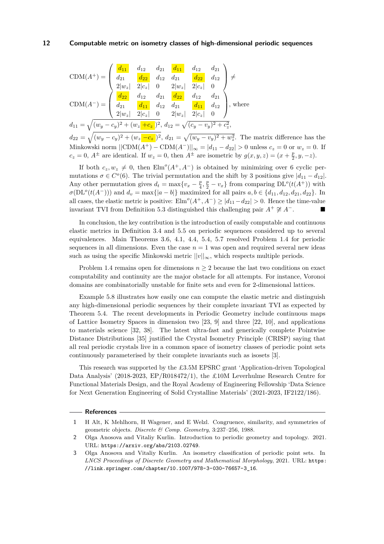$$
CDM(A^{+}) = \begin{pmatrix} \frac{d_{11}}{d_{21}} & d_{12} & d_{21} & d_{12} & d_{21} \\ d_{21} & \frac{d_{22}}{d_{22}} & d_{12} & d_{21} & d_{22} & d_{12} \\ 2|w_z| & 2|c_z| & 0 & 2|w_z| & 2|c_z| & 0 \end{pmatrix} \neq
$$
\n
$$
CDM(A^{-}) = \begin{pmatrix} \frac{d_{22}}{d_{22}} & d_{12} & d_{21} & d_{22} & d_{21} & d_{21} \\ d_{21} & d_{11} & d_{12} & d_{21} & d_{11} & d_{12} \\ 2|w_z| & 2|c_z| & 0 & 2|w_z| & 2|c_z| & 0 \end{pmatrix}, \text{ where}
$$
\n
$$
d_{11} = \sqrt{(w_y - c_y)^2 + (w_z + c_z)^2}, \quad d_{12} = \sqrt{(c_y - v_y)^2 + c_z^2},
$$
\n
$$
d_{22} = \sqrt{(w_x - w_y)^2 + c_z^2}, \quad d_{23} = \sqrt{(w_x - w_y)^2 + w_z^2} \text{ Theorem 2.2.1.}
$$

 $d_{22} = \sqrt{(w_y - c_y)^2 + (w_z - c_z)^2}$ ,  $d_{21} = \sqrt{(w_y - v_y)^2 + w_z^2}$ . The matrix difference has the Minkowski norm  $||CDM(A^{+}) - CDM(A^{-})||_{\infty} = |d_{11} - d_{22}| > 0$  unless  $c_z = 0$  or  $w_z = 0$ . If  $c_z = 0$ ,  $A^{\pm}$  are identical. If  $w_z = 0$ , then  $A^{\pm}$  are isometric by  $g(x, y, z) = (x + \frac{p}{2}, y, -z)$ .

If both  $c_z, w_z \neq 0$ , then  $\text{Elm}^o(A^+, A^-)$  is obtained by minimizing over 6 cyclic permutations  $\sigma \in C^{\circ}(6)$ . The trivial permutation and the shift by 3 positions give  $|d_{11} - d_{12}|$ . Any other permutation gives  $d_t = \max\{v_x - \frac{p}{4}, \frac{p}{2} - v_x\}$  from comparing  $DL^o(t(A^+))$  with  $\sigma(DL^{o}(t(A^{-})))$  and  $d_{v} = \max\{|a - b|\}$  maximized for all pairs  $a, b \in \{d_{11}, d_{12}, d_{21}, d_{22}\}$ . In all cases, the elastic metric is positive:  $\text{Elm}^o(A^+, A^-) \geq |d_{11} - d_{22}| > 0$ . Hence the time-value invariant TVI from Definitiion [5.3](#page-8-2) distinguished this challenging pair  $A^+ \not\cong A^-$ .

In conclusion, the key contribution is the introduction of easily computable and continuous elastic metrics in Definition [3.4](#page-5-0) and [5.5](#page-9-2) on periodic sequences considered up to several equivalences. Main Theorems [3.6,](#page-6-0) [4.1,](#page-6-1) [4.4,](#page-7-0) [5.4,](#page-9-0) [5.7](#page-9-1) resolved Problem [1.4](#page-2-0) for periodic sequences in all dimensions. Even the case  $n = 1$  was open and required several new ideas such as using the specific Minkowski metric  $||v||_{\infty}$ , which respects multiple periods.

Problem [1.4](#page-2-0) remains open for dimensions  $n \geq 2$  because the last two conditions on exact computability and continuity are the major obstacle for all attempts. For instance, Voronoi domains are combinatorially unstable for finite sets and even for 2-dimensional lattices.

Example [5.8](#page-10-1) illustrates how easily one can compute the elastic metric and distinguish any high-dimensional periodic sequences by their complete invariant TVI as expected by Theorem [5.4.](#page-9-0) The recent developments in Periodic Geometry include continuous maps of Lattice Isometry Spaces in dimension two [\[23,](#page-12-15) [9\]](#page-12-16) and three [\[22,](#page-12-17) [10\]](#page-12-18), and applications to materials science [\[32,](#page-13-11) [38\]](#page-13-12). The latest ultra-fast and generically complete Pointwise Distance Distributions [\[35\]](#page-13-7) justified the Crystal Isometry Principle (CRISP) saying that all real periodic crystals live in a common space of isometry classes of periodic point sets continuously parameterised by their complete invariants such as isosets [\[3\]](#page-11-2).

This research was supported by the £3.5M EPSRC grant 'Application-driven Topological Data Analysis' (2018-2023, EP/R018472/1), the £10M Leverhulme Research Centre for Functional Materials Design, and the Royal Academy of Engineering Fellowship 'Data Science for Next Generation Engineering of Solid Crystalline Materials' (2021-2023, IF2122/186).

#### **References**

<span id="page-11-0"></span>**<sup>1</sup>** H Alt, K Mehlhorn, H Wagener, and E Welzl. Congruence, similarity, and symmetries of geometric objects. *Discrete & Comp. Geometry*, 3:237–256, 1988.

<span id="page-11-1"></span>**<sup>2</sup>** Olga Anosova and Vitaliy Kurlin. Introduction to periodic geometry and topology. 2021. URL: <https://arxiv.org/abs/2103.02749>.

<span id="page-11-2"></span>**<sup>3</sup>** Olga Anosova and Vitaliy Kurlin. An isometry classification of periodic point sets. In *LNCS Proceedings of Discrete Geometry and Mathematical Morphology*, 2021. URL: [https:](https://link.springer.com/chapter/10.1007/978-3-030-76657-3_16) [//link.springer.com/chapter/10.1007/978-3-030-76657-3\\_16](https://link.springer.com/chapter/10.1007/978-3-030-76657-3_16).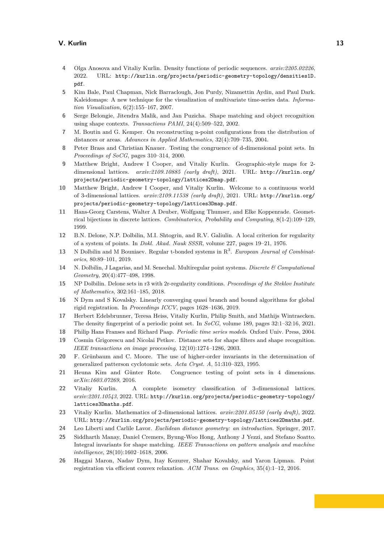- <span id="page-12-12"></span>**4** Olga Anosova and Vitaliy Kurlin. Density functions of periodic sequences. *arxiv:2205.02226*, 2022. URL: [http://kurlin.org/projects/periodic-geometry-topology/densities1D.](http://kurlin.org/projects/periodic-geometry-topology/densities1D.pdf) [pdf](http://kurlin.org/projects/periodic-geometry-topology/densities1D.pdf).
- <span id="page-12-14"></span>**5** Kim Bale, Paul Chapman, Nick Barraclough, Jon Purdy, Nizamettin Aydin, and Paul Dark. Kaleidomaps: A new technique for the visualization of multivariate time-series data. *Information Visualization*, 6(2):155–167, 2007.
- <span id="page-12-7"></span>**6** Serge Belongie, Jitendra Malik, and Jan Puzicha. Shape matching and object recognition using shape contexts. *Transactions PAMI*, 24(4):509–522, 2002.
- <span id="page-12-1"></span>**7** M. Boutin and G. Kemper. On reconstructing n-point configurations from the distribution of distances or areas. *Advances in Applied Mathematics*, 32(4):709–735, 2004.
- <span id="page-12-2"></span>**8** Peter Brass and Christian Knauer. Testing the congruence of d-dimensional point sets. In *Proceedings of SoCG*, pages 310–314, 2000.
- <span id="page-12-16"></span>**9** Matthew Bright, Andrew I Cooper, and Vitaliy Kurlin. Geographic-style maps for 2 dimensional lattices. *arxiv:2109.10885 (early draft)*, 2021. URL: [http://kurlin.org/](http://kurlin.org/projects/periodic-geometry-topology/lattices2Dmap.pdf) [projects/periodic-geometry-topology/lattices2Dmap.pdf](http://kurlin.org/projects/periodic-geometry-topology/lattices2Dmap.pdf).
- <span id="page-12-18"></span>**10** Matthew Bright, Andrew I Cooper, and Vitaliy Kurlin. Welcome to a continuous world of 3-dimensional lattices. *arxiv:2109.11538 (early draft)*, 2021. URL: [http://kurlin.org/](http://kurlin.org/projects/periodic-geometry-topology/lattices3Dmap.pdf) [projects/periodic-geometry-topology/lattices3Dmap.pdf](http://kurlin.org/projects/periodic-geometry-topology/lattices3Dmap.pdf).
- <span id="page-12-13"></span>**11** Hans-Georg Carstens, Walter A Deuber, Wolfgang Thumser, and Elke Koppenrade. Geometrical bijections in discrete lattices. *Combinatorics, Probability and Computing*, 8(1-2):109–129, 1999.
- <span id="page-12-19"></span>**12** B.N. Delone, N.P. Dolbilin, M.I. Shtogrin, and R.V. Galiulin. A local criterion for regularity of a system of points. In *Dokl. Akad. Nauk SSSR*, volume 227, pages 19–21, 1976.
- <span id="page-12-22"></span>13 N Dolbilin and M Bouniaev. Regular t-bonded systems in R<sup>3</sup>. *European Journal of Combinatorics*, 80:89–101, 2019.
- <span id="page-12-20"></span>**14** N. Dolbilin, J Lagarias, and M. Senechal. Multiregular point systems. *Discrete & Computational Geometry*, 20(4):477–498, 1998.
- <span id="page-12-21"></span>**15** NP Dolbilin. Delone sets in r3 with 2r-regularity conditions. *Proceedings of the Steklov Institute of Mathematics*, 302:161–185, 2018.
- <span id="page-12-5"></span>**16** N Dym and S Kovalsky. Linearly converging quasi branch and bound algorithms for global rigid registration. In *Proceedings ICCV*, pages 1628–1636, 2019.
- <span id="page-12-11"></span>**17** Herbert Edelsbrunner, Teresa Heiss, Vitaliy Kurlin, Philip Smith, and Mathijs Wintraecken. The density fingerprint of a periodic point set. In *SoCG*, volume 189, pages 32:1–32:16, 2021.
- <span id="page-12-0"></span>**18** Philip Hans Franses and Richard Paap. *Periodic time series models*. Oxford Univ. Press, 2004.
- <span id="page-12-8"></span>**19** Cosmin Grigorescu and Nicolai Petkov. Distance sets for shape filters and shape recognition. *IEEE transactions on image processing*, 12(10):1274–1286, 2003.
- <span id="page-12-10"></span>**20** F. Grünbaum and C. Moore. The use of higher-order invariants in the determination of generalized patterson cyclotomic sets. *Acta Cryst. A*, 51:310–323, 1995.
- <span id="page-12-3"></span>**21** Heuna Kim and Günter Rote. Congruence testing of point sets in 4 dimensions. *arXiv:1603.07269*, 2016.
- <span id="page-12-17"></span>**22** Vitaliy Kurlin. A complete isometry classification of 3-dimensional lattices. *arxiv:2201.10543*, 2022. URL: [http://kurlin.org/projects/periodic-geometry-topology/](http://kurlin.org/projects/periodic-geometry-topology/lattices3Dmaths.pdf) [lattices3Dmaths.pdf](http://kurlin.org/projects/periodic-geometry-topology/lattices3Dmaths.pdf).
- <span id="page-12-15"></span>**23** Vitaliy Kurlin. Mathematics of 2-dimensional lattices. *arxiv:2201.05150 (early draft)*, 2022. URL: <http://kurlin.org/projects/periodic-geometry-topology/lattices2Dmaths.pdf>.
- <span id="page-12-6"></span>**24** Leo Liberti and Carlile Lavor. *Euclidean distance geometry: an introduction*. Springer, 2017.
- <span id="page-12-9"></span>**25** Siddharth Manay, Daniel Cremers, Byung-Woo Hong, Anthony J Yezzi, and Stefano Soatto. Integral invariants for shape matching. *IEEE Transactions on pattern analysis and machine intelligence*, 28(10):1602–1618, 2006.
- <span id="page-12-4"></span>**26** Haggai Maron, Nadav Dym, Itay Kezurer, Shahar Kovalsky, and Yaron Lipman. Point registration via efficient convex relaxation. *ACM Trans. on Graphics*, 35(4):1–12, 2016.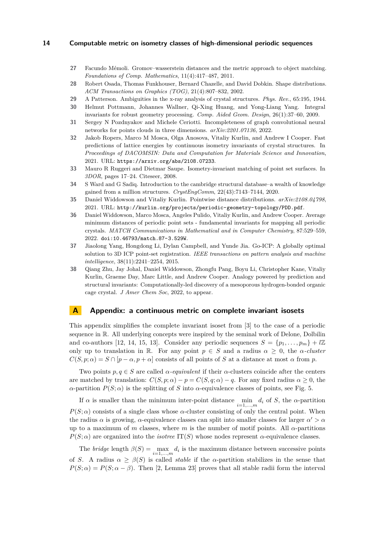- <span id="page-13-4"></span>**27** Facundo Mémoli. Gromov–wasserstein distances and the metric approach to object matching. *Foundations of Comp. Mathematics*, 11(4):417–487, 2011.
- <span id="page-13-5"></span>**28** Robert Osada, Thomas Funkhouser, Bernard Chazelle, and David Dobkin. Shape distributions. *ACM Transactions on Graphics (TOG)*, 21(4):807–832, 2002.
- <span id="page-13-1"></span>**29** A Patterson. Ambiguities in the x-ray analysis of crystal structures. *Phys. Rev.*, 65:195, 1944.
- <span id="page-13-6"></span>**30** Helmut Pottmann, Johannes Wallner, Qi-Xing Huang, and Yong-Liang Yang. Integral invariants for robust geometry processing. *Comp. Aided Geom. Design*, 26(1):37–60, 2009.
- <span id="page-13-10"></span>**31** Sergey N Pozdnyakov and Michele Ceriotti. Incompleteness of graph convolutional neural networks for points clouds in three dimensions. *arXiv:2201.07136*, 2022.
- <span id="page-13-11"></span>**32** Jakob Ropers, Marco M Mosca, Olga Anosova, Vitaliy Kurlin, and Andrew I Cooper. Fast predictions of lattice energies by continuous isometry invariants of crystal structures. In *Proceedings of DACOMSIN: Data and Computation for Materials Science and Innovation*, 2021. URL: <https://arxiv.org/abs/2108.07233>.
- <span id="page-13-2"></span>**33** Mauro R Ruggeri and Dietmar Saupe. Isometry-invariant matching of point set surfaces. In *3DOR*, pages 17–24. Citeseer, 2008.
- <span id="page-13-0"></span>**34** S Ward and G Sadiq. Introduction to the cambridge structural database–a wealth of knowledge gained from a million structures. *CrystEngComm*, 22(43):7143–7144, 2020.
- <span id="page-13-7"></span>**35** Daniel Widdowson and Vitaliy Kurlin. Pointwise distance distributions. *arXiv:2108.04798*, 2021. URL: <http://kurlin.org/projects/periodic-geometry-topology/PDD.pdf>.
- <span id="page-13-8"></span>**36** Daniel Widdowson, Marco Mosca, Angeles Pulido, Vitaliy Kurlin, and Andrew Cooper. Average minimum distances of periodic point sets - fundamental invariants for mapping all periodic crystals. *MATCH Communications in Mathematical and in Computer Chemistry*, 87:529–559, 2022. [doi:10.46793/match.87-3.529W](https://doi.org/10.46793/match.87-3.529W).
- <span id="page-13-3"></span>**37** Jiaolong Yang, Hongdong Li, Dylan Campbell, and Yunde Jia. Go-ICP: A globally optimal solution to 3D ICP point-set registration. *IEEE transactions on pattern analysis and machine intelligence*, 38(11):2241–2254, 2015.
- <span id="page-13-12"></span>**38** Qiang Zhu, Jay Johal, Daniel Widdowson, Zhongfu Pang, Boyu Li, Christopher Kane, Vitaliy Kurlin, Graeme Day, Marc Little, and Andrew Cooper. Analogy powered by prediction and structural invariants: Computationally-led discovery of a mesoporous hydrogen-bonded organic cage crystal. *J Amer Chem Soc*, 2022, to appear.

## <span id="page-13-9"></span>**A Appendix: a continuous metric on complete invariant isosets**

This appendix simplifies the complete invariant isoset from [\[3\]](#page-11-2) to the case of a periodic sequence in R. All underlying concepts were inspired by the seminal work of Delone, Dolbilin and co-authors [\[12,](#page-12-19) [14,](#page-12-20) [15,](#page-12-21) [13\]](#page-12-22). Consider any periodic sequences  $S = \{p_1, \ldots, p_m\} + l\mathbb{Z}$ only up to translation in R. For any point  $p \in S$  and a radius  $\alpha \geq 0$ , the *α-cluster*  $C(S, p; \alpha) = S \cap [p - \alpha, p + \alpha]$  consists of all points of *S* at a distance at most  $\alpha$  from *p*.

Two points  $p, q \in S$  are called  $\alpha$ -equivalent if their  $\alpha$ -clusters coincide after the centers are matched by translation:  $C(S, p; \alpha) - p = C(S, q; \alpha) - q$ . For any fixed radius  $\alpha > 0$ , the *α*-partition  $P(S; \alpha)$  is the splitting of *S* into *α*-equivalence classes of points, see Fig. [5.](#page-14-0)

If  $\alpha$  is smaller than the minimum inter-point distance  $\min_{i=1,\dots,m} d_i$  of *S*, the  $\alpha$ -partition  $P(S; \alpha)$  consists of a single class whose  $\alpha$ -cluster consisting of only the central point. When the radius  $\alpha$  is growing,  $\alpha$ -equivalence classes can split into smaller classes for larger  $\alpha' > \alpha$ up to a maximum of *m* classes, where *m* is the number of motif points. All  $\alpha$ -partitions  $P(S; \alpha)$  are organized into the *isotree* IT(*S*) whose nodes represent *α*-equivalence classes.

The *bridge* length  $\beta(S) = \max_{i=1,...,m} d_i$  is the maximum distance between successive points of *S*. A radius  $\alpha \geq \beta(S)$  is called *stable* if the *α*-partition stabilizes in the sense that  $P(S; \alpha) = P(S; \alpha - \beta)$ . Then [\[2,](#page-11-1) Lemma 23] proves that all stable radii form the interval